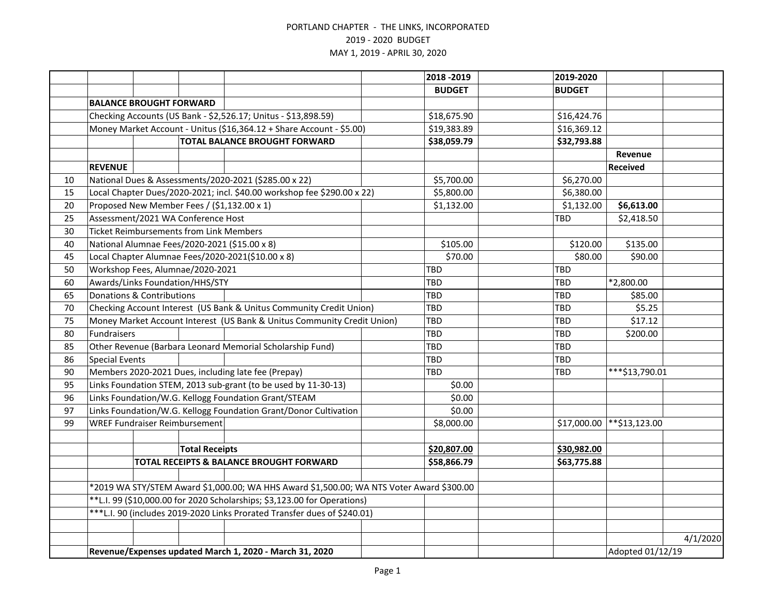|    |                                                                     |                                                |                       |                                                                                          |  | 2018 - 2019   | 2019-2020        |                |          |
|----|---------------------------------------------------------------------|------------------------------------------------|-----------------------|------------------------------------------------------------------------------------------|--|---------------|------------------|----------------|----------|
|    |                                                                     |                                                |                       |                                                                                          |  | <b>BUDGET</b> | <b>BUDGET</b>    |                |          |
|    |                                                                     | <b>BALANCE BROUGHT FORWARD</b>                 |                       |                                                                                          |  |               |                  |                |          |
|    |                                                                     |                                                |                       | Checking Accounts (US Bank - \$2,526.17; Unitus - \$13,898.59)                           |  | \$18,675.90   | \$16,424.76      |                |          |
|    |                                                                     |                                                |                       | Money Market Account - Unitus (\$16,364.12 + Share Account - \$5.00)                     |  | \$19,383.89   | \$16,369.12      |                |          |
|    |                                                                     |                                                |                       | <b>TOTAL BALANCE BROUGHT FORWARD</b>                                                     |  | \$38,059.79   | \$32,793.88      |                |          |
|    |                                                                     |                                                |                       |                                                                                          |  |               |                  | Revenue        |          |
|    | <b>REVENUE</b>                                                      |                                                |                       |                                                                                          |  |               |                  | Received       |          |
| 10 |                                                                     |                                                |                       | National Dues & Assessments/2020-2021 (\$285.00 x 22)                                    |  | \$5,700.00    | \$6,270.00       |                |          |
| 15 |                                                                     |                                                |                       | Local Chapter Dues/2020-2021; incl. \$40.00 workshop fee \$290.00 x 22)                  |  | \$5,800.00    | \$6,380.00       |                |          |
| 20 |                                                                     |                                                |                       | Proposed New Member Fees / (\$1,132.00 x 1)                                              |  | \$1,132.00    | \$1,132.00       | \$6,613.00     |          |
| 25 |                                                                     | Assessment/2021 WA Conference Host             |                       |                                                                                          |  |               | <b>TBD</b>       | \$2,418.50     |          |
| 30 |                                                                     | <b>Ticket Reimbursements from Link Members</b> |                       |                                                                                          |  |               |                  |                |          |
| 40 |                                                                     |                                                |                       | National Alumnae Fees/2020-2021 (\$15.00 x 8)                                            |  | \$105.00      | \$120.00         | \$135.00       |          |
| 45 |                                                                     |                                                |                       | Local Chapter Alumnae Fees/2020-2021(\$10.00 x 8)                                        |  | \$70.00       | \$80.00          | \$90.00        |          |
| 50 |                                                                     | Workshop Fees, Alumnae/2020-2021               |                       |                                                                                          |  | <b>TBD</b>    | TBD              |                |          |
| 60 |                                                                     | Awards/Links Foundation/HHS/STY                |                       |                                                                                          |  | <b>TBD</b>    | TBD              | *2,800.00      |          |
| 65 |                                                                     | Donations & Contributions                      |                       |                                                                                          |  | TBD           | <b>TBD</b>       | \$85.00        |          |
| 70 | Checking Account Interest (US Bank & Unitus Community Credit Union) |                                                |                       |                                                                                          |  | TBD           | TBD              | \$5.25         |          |
| 75 |                                                                     |                                                |                       | Money Market Account Interest (US Bank & Unitus Community Credit Union)                  |  | TBD           | <b>TBD</b>       | \$17.12        |          |
| 80 | Fundraisers                                                         |                                                |                       |                                                                                          |  | TBD           | TBD              | \$200.00       |          |
| 85 |                                                                     |                                                |                       | Other Revenue (Barbara Leonard Memorial Scholarship Fund)                                |  | TBD           | <b>TBD</b>       |                |          |
| 86 | <b>Special Events</b>                                               |                                                |                       |                                                                                          |  | TBD           | TBD              |                |          |
| 90 |                                                                     |                                                |                       | Members 2020-2021 Dues, including late fee (Prepay)                                      |  | TBD           | TBD              | ***\$13,790.01 |          |
| 95 |                                                                     |                                                |                       | Links Foundation STEM, 2013 sub-grant (to be used by 11-30-13)                           |  | \$0.00        |                  |                |          |
| 96 |                                                                     |                                                |                       | Links Foundation/W.G. Kellogg Foundation Grant/STEAM                                     |  | \$0.00        |                  |                |          |
| 97 |                                                                     |                                                |                       | Links Foundation/W.G. Kellogg Foundation Grant/Donor Cultivation                         |  | \$0.00        |                  |                |          |
| 99 |                                                                     | <b>WREF Fundraiser Reimbursement</b>           |                       |                                                                                          |  | \$8,000.00    | \$17,000.00      | **\$13,123.00  |          |
|    |                                                                     |                                                |                       |                                                                                          |  |               |                  |                |          |
|    |                                                                     |                                                | <b>Total Receipts</b> |                                                                                          |  | \$20,807.00   | \$30,982.00      |                |          |
|    |                                                                     |                                                |                       | TOTAL RECEIPTS & BALANCE BROUGHT FORWARD                                                 |  | \$58,866.79   | \$63,775.88      |                |          |
|    |                                                                     |                                                |                       |                                                                                          |  |               |                  |                |          |
|    |                                                                     |                                                |                       | *2019 WA STY/STEM Award \$1,000.00; WA HHS Award \$1,500.00; WA NTS Voter Award \$300.00 |  |               |                  |                |          |
|    |                                                                     |                                                |                       | **L.I. 99 (\$10,000.00 for 2020 Scholarships; \$3,123.00 for Operations)                 |  |               |                  |                |          |
|    |                                                                     |                                                |                       | *** L.I. 90 (includes 2019-2020 Links Prorated Transfer dues of \$240.01)                |  |               |                  |                |          |
|    |                                                                     |                                                |                       |                                                                                          |  |               |                  |                |          |
|    |                                                                     |                                                |                       |                                                                                          |  |               |                  |                | 4/1/2020 |
|    |                                                                     |                                                |                       | Revenue/Expenses updated March 1, 2020 - March 31, 2020                                  |  |               | Adopted 01/12/19 |                |          |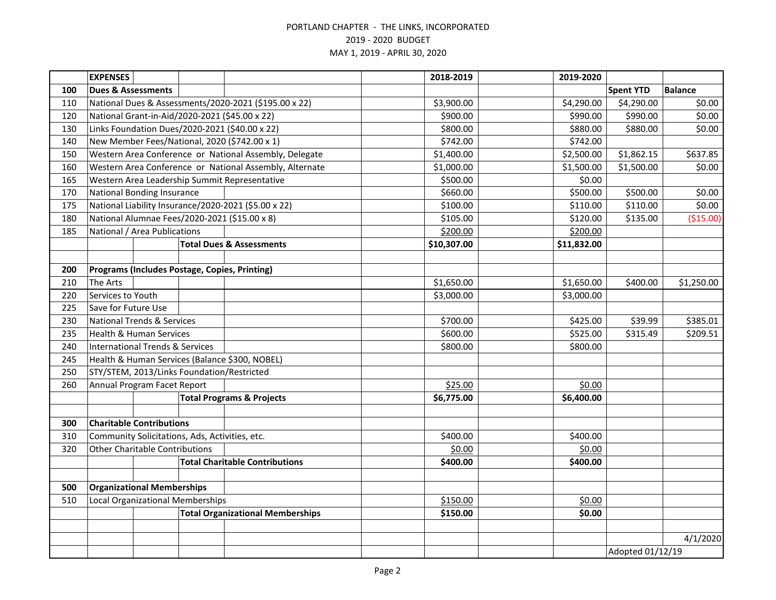|     | <b>EXPENSES</b>                                |  |  |                                                         | 2018-2019   | 2019-2020        |                  |                |
|-----|------------------------------------------------|--|--|---------------------------------------------------------|-------------|------------------|------------------|----------------|
| 100 | <b>Dues &amp; Assessments</b>                  |  |  |                                                         |             |                  | <b>Spent YTD</b> | <b>Balance</b> |
| 110 |                                                |  |  | National Dues & Assessments/2020-2021 (\$195.00 x 22)   | \$3,900.00  | \$4,290.00       | \$4,290.00       | \$0.00         |
| 120 | National Grant-in-Aid/2020-2021 (\$45.00 x 22) |  |  |                                                         | \$900.00    | \$990.00         | \$990.00         | \$0.00         |
| 130 | Links Foundation Dues/2020-2021 (\$40.00 x 22) |  |  |                                                         | \$800.00    | \$880.00         | \$880.00         | \$0.00         |
| 140 |                                                |  |  | New Member Fees/National, 2020 (\$742.00 x 1)           | \$742.00    | \$742.00         |                  |                |
| 150 |                                                |  |  | Western Area Conference or National Assembly, Delegate  | \$1,400.00  | \$2,500.00       | \$1,862.15       | \$637.85       |
| 160 |                                                |  |  | Western Area Conference or National Assembly, Alternate | \$1,000.00  | \$1,500.00       | \$1,500.00       | \$0.00         |
| 165 |                                                |  |  | Western Area Leadership Summit Representative           | \$500.00    | \$0.00           |                  |                |
| 170 | <b>National Bonding Insurance</b>              |  |  |                                                         | \$660.00    | \$500.00         | \$500.00         | \$0.00         |
| 175 |                                                |  |  | National Liability Insurance/2020-2021 (\$5.00 x 22)    | \$100.00    | \$110.00         | \$110.00         | \$0.00         |
| 180 | National Alumnae Fees/2020-2021 (\$15.00 x 8)  |  |  |                                                         | \$105.00    | \$120.00         | \$135.00         | (\$15.00)      |
| 185 | National / Area Publications                   |  |  |                                                         | \$200.00    | \$200.00         |                  |                |
|     |                                                |  |  | <b>Total Dues &amp; Assessments</b>                     | \$10,307.00 | \$11,832.00      |                  |                |
|     |                                                |  |  |                                                         |             |                  |                  |                |
| 200 | Programs (Includes Postage, Copies, Printing)  |  |  |                                                         |             |                  |                  |                |
| 210 | The Arts                                       |  |  |                                                         | \$1,650.00  | \$1,650.00       | \$400.00         | \$1,250.00     |
| 220 | Services to Youth                              |  |  |                                                         | \$3,000.00  | \$3,000.00       |                  |                |
| 225 | Save for Future Use                            |  |  |                                                         |             |                  |                  |                |
| 230 | <b>National Trends &amp; Services</b>          |  |  | \$700.00                                                | \$425.00    | \$39.99          | \$385.01         |                |
| 235 | <b>Health &amp; Human Services</b>             |  |  |                                                         | \$600.00    | \$525.00         | \$315.49         | \$209.51       |
| 240 | <b>International Trends &amp; Services</b>     |  |  |                                                         | \$800.00    | \$800.00         |                  |                |
| 245 |                                                |  |  | Health & Human Services (Balance \$300, NOBEL)          |             |                  |                  |                |
| 250 | STY/STEM, 2013/Links Foundation/Restricted     |  |  |                                                         |             |                  |                  |                |
| 260 | Annual Program Facet Report                    |  |  | \$25.00                                                 | \$0.00      |                  |                  |                |
|     |                                                |  |  | <b>Total Programs &amp; Projects</b>                    | \$6,775.00  | \$6,400.00       |                  |                |
|     |                                                |  |  |                                                         |             |                  |                  |                |
| 300 | <b>Charitable Contributions</b>                |  |  |                                                         |             |                  |                  |                |
| 310 | Community Solicitations, Ads, Activities, etc. |  |  |                                                         | \$400.00    | \$400.00         |                  |                |
| 320 | <b>Other Charitable Contributions</b>          |  |  |                                                         | \$0.00      | \$0.00           |                  |                |
|     |                                                |  |  | <b>Total Charitable Contributions</b>                   | \$400.00    | \$400.00         |                  |                |
|     |                                                |  |  |                                                         |             |                  |                  |                |
| 500 | <b>Organizational Memberships</b>              |  |  |                                                         |             |                  |                  |                |
| 510 | Local Organizational Memberships               |  |  | \$150.00                                                | \$0.00      |                  |                  |                |
|     |                                                |  |  | <b>Total Organizational Memberships</b>                 | \$150.00    | \$0.00           |                  |                |
|     |                                                |  |  |                                                         |             |                  |                  |                |
|     |                                                |  |  |                                                         |             |                  |                  | 4/1/2020       |
|     |                                                |  |  |                                                         |             | Adopted 01/12/19 |                  |                |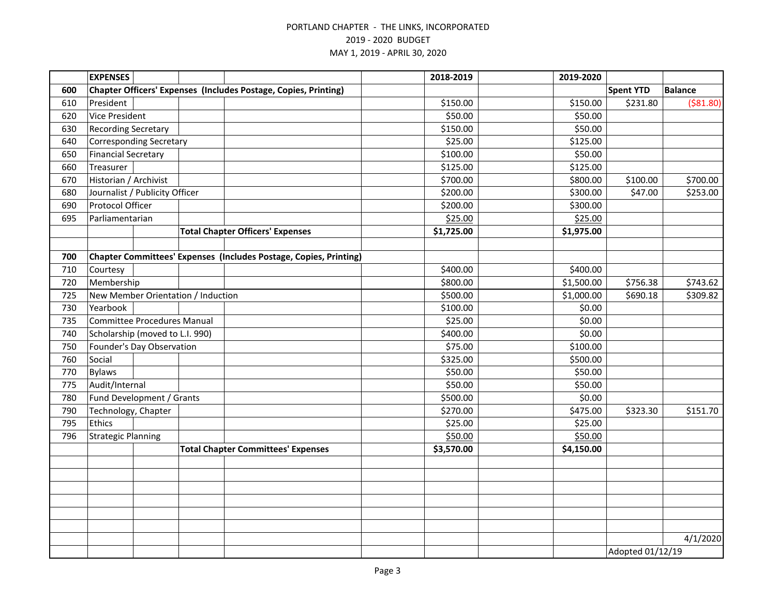|     | <b>EXPENSES</b>                    |  |  |                                                                          | 2018-2019  | 2019-2020  |                  |                |  |
|-----|------------------------------------|--|--|--------------------------------------------------------------------------|------------|------------|------------------|----------------|--|
| 600 |                                    |  |  | Chapter Officers' Expenses (Includes Postage, Copies, Printing)          |            |            | <b>Spent YTD</b> | <b>Balance</b> |  |
| 610 | President                          |  |  |                                                                          | \$150.00   | \$150.00   | \$231.80         | ( \$81.80)     |  |
| 620 | <b>Vice President</b>              |  |  |                                                                          | \$50.00    | \$50.00    |                  |                |  |
| 630 | <b>Recording Secretary</b>         |  |  |                                                                          | \$150.00   | \$50.00    |                  |                |  |
| 640 | <b>Corresponding Secretary</b>     |  |  |                                                                          | \$25.00    | \$125.00   |                  |                |  |
| 650 | <b>Financial Secretary</b>         |  |  |                                                                          | \$100.00   | \$50.00    |                  |                |  |
| 660 | Treasurer                          |  |  |                                                                          | \$125.00   | \$125.00   |                  |                |  |
| 670 | Historian / Archivist              |  |  |                                                                          | \$700.00   | \$800.00   | \$100.00         | \$700.00       |  |
| 680 | Journalist / Publicity Officer     |  |  |                                                                          | \$200.00   | \$300.00   | \$47.00          | \$253.00       |  |
| 690 | Protocol Officer                   |  |  |                                                                          | \$200.00   | \$300.00   |                  |                |  |
| 695 | Parliamentarian                    |  |  |                                                                          | \$25.00    | \$25.00    |                  |                |  |
|     |                                    |  |  | <b>Total Chapter Officers' Expenses</b>                                  | \$1,725.00 | \$1,975.00 |                  |                |  |
|     |                                    |  |  |                                                                          |            |            |                  |                |  |
| 700 |                                    |  |  | <b>Chapter Committees' Expenses (Includes Postage, Copies, Printing)</b> |            |            |                  |                |  |
| 710 | Courtesy                           |  |  |                                                                          | \$400.00   | \$400.00   |                  |                |  |
| 720 | Membership                         |  |  |                                                                          | \$800.00   | \$1,500.00 | \$756.38         | \$743.62       |  |
| 725 | New Member Orientation / Induction |  |  |                                                                          | \$500.00   | \$1,000.00 | \$690.18         | \$309.82       |  |
| 730 | Yearbook                           |  |  |                                                                          | \$100.00   | \$0.00     |                  |                |  |
| 735 | <b>Committee Procedures Manual</b> |  |  |                                                                          | \$25.00    | \$0.00     |                  |                |  |
| 740 | Scholarship (moved to L.I. 990)    |  |  |                                                                          | \$400.00   | \$0.00     |                  |                |  |
| 750 | Founder's Day Observation          |  |  |                                                                          | \$75.00    | \$100.00   |                  |                |  |
| 760 | Social                             |  |  |                                                                          | \$325.00   | \$500.00   |                  |                |  |
| 770 | <b>Bylaws</b>                      |  |  |                                                                          | \$50.00    | \$50.00    |                  |                |  |
| 775 | Audit/Internal                     |  |  |                                                                          | \$50.00    | \$50.00    |                  |                |  |
| 780 | Fund Development / Grants          |  |  |                                                                          | \$500.00   | \$0.00     |                  |                |  |
| 790 | Technology, Chapter                |  |  |                                                                          | \$270.00   | \$475.00   | \$323.30         | \$151.70       |  |
| 795 | Ethics                             |  |  |                                                                          | \$25.00    | \$25.00    |                  |                |  |
| 796 | <b>Strategic Planning</b>          |  |  |                                                                          | \$50.00    | \$50.00    |                  |                |  |
|     |                                    |  |  | <b>Total Chapter Committees' Expenses</b>                                | \$3,570.00 | \$4,150.00 |                  |                |  |
|     |                                    |  |  |                                                                          |            |            |                  |                |  |
|     |                                    |  |  |                                                                          |            |            |                  |                |  |
|     |                                    |  |  |                                                                          |            |            |                  |                |  |
|     |                                    |  |  |                                                                          |            |            |                  |                |  |
|     |                                    |  |  |                                                                          |            |            |                  |                |  |
|     |                                    |  |  |                                                                          |            |            |                  |                |  |
|     |                                    |  |  |                                                                          |            |            |                  | 4/1/2020       |  |
|     |                                    |  |  |                                                                          |            |            | Adopted 01/12/19 |                |  |